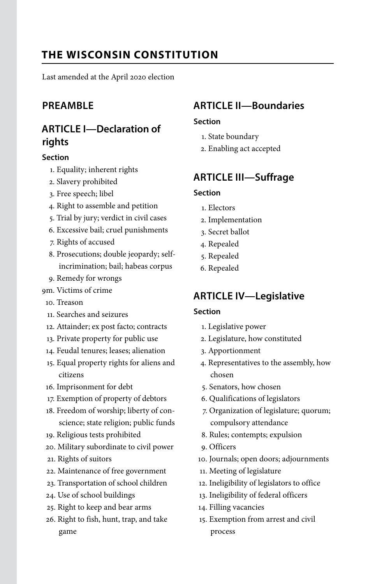# **THE WISCONSIN CONSTITUTION**

Last amended at the April 2020 election

## **PREAMBLE**

## **ARTICLE I—Declaration of rights**

### **Section**

- 1. Equality; inherent rights
- 2. Slavery prohibited
- 3. Free speech; libel
- 4. Right to assemble and petition
- 5. Trial by jury; verdict in civil cases
- 6. Excessive bail; cruel punishments
- 7. Rights of accused
- 8. Prosecutions; double jeopardy; selfincrimination; bail; habeas corpus
- 9. Remedy for wrongs
- 9m. Victims of crime
- 10. Treason
- 11. Searches and seizures
- 12. Attainder; ex post facto; contracts
- 13. Private property for public use
- 14. Feudal tenures; leases; alienation
- 15. Equal property rights for aliens and citizens
- 16. Imprisonment for debt
- 17. Exemption of property of debtors
- 18. Freedom of worship; liberty of conscience; state religion; public funds
- 19. Religious tests prohibited
- 20. Military subordinate to civil power
- 21. Rights of suitors
- 22. Maintenance of free government
- 23. Transportation of school children
- 24. Use of school buildings
- 25. Right to keep and bear arms
- 26. Right to fish, hunt, trap, and take game

## **ARTICLE II—Boundaries**

#### **Section**

- 1. State boundary
- 2. Enabling act accepted

## **ARTICLE III—Suffrage**

### **Section**

- 1. Electors
- 2. Implementation
- 3. Secret ballot
- 4. Repealed
- 5. Repealed
- 6. Repealed

## **ARTICLE IV—Legislative**

#### **Section**

- 1. Legislative power
- 2. Legislature, how constituted
- 3. Apportionment
- 4. Representatives to the assembly, how chosen
- 5. Senators, how chosen
- 6. Qualifications of legislators
- 7. Organization of legislature; quorum; compulsory attendance
- 8. Rules; contempts; expulsion
- 9. Officers
- 10. Journals; open doors; adjournments
- 11. Meeting of legislature
- 12. Ineligibility of legislators to office
- 13. Ineligibility of federal officers
- 14. Filling vacancies
- 15. Exemption from arrest and civil process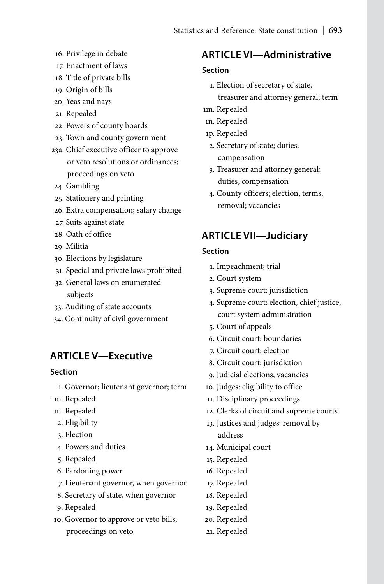- 16. Privilege in debate
- 17. Enactment of laws
- 18. Title of private bills
- 19. Origin of bills
- 20. Yeas and nays
- 21. Repealed
- 22. Powers of county boards
- 23. Town and county government
- 23a. Chief executive officer to approve or veto resolutions or ordinances; proceedings on veto
- 24. Gambling
- 25. Stationery and printing
- 26. Extra compensation; salary change
- 27. Suits against state
- 28. Oath of office
- 29. Militia
- 30. Elections by legislature
- 31. Special and private laws prohibited
- 32. General laws on enumerated subjects
- 33. Auditing of state accounts
- 34. Continuity of civil government

## **ARTICLE V—Executive**

### **Section**

- 1. Governor; lieutenant governor; term
- 1m. Repealed
- 1n. Repealed
- 2. Eligibility
- 3. Election
- 4. Powers and duties
- 5. Repealed
- 6. Pardoning power
- 7. Lieutenant governor, when governor
- 8. Secretary of state, when governor
- 9. Repealed
- 10. Governor to approve or veto bills; proceedings on veto

## **ARTICLE VI—Administrative**

### **Section**

- 1. Election of secretary of state, treasurer and attorney general; term
- 1m. Repealed
- 1n. Repealed
- 1p. Repealed
- 2. Secretary of state; duties, compensation
- 3. Treasurer and attorney general; duties, compensation
- 4. County officers; election, terms, removal; vacancies

## **ARTICLE VII—Judiciary**

### **Section**

- 1. Impeachment; trial
- 2. Court system
- 3. Supreme court: jurisdiction
- 4. Supreme court: election, chief justice, court system administration
- 5. Court of appeals
- 6. Circuit court: boundaries
- 7. Circuit court: election
- 8. Circuit court: jurisdiction
- 9. Judicial elections, vacancies
- 10. Judges: eligibility to office
- 11. Disciplinary proceedings
- 12. Clerks of circuit and supreme courts
- 13. Justices and judges: removal by address
- 14. Municipal court
- 15. Repealed
- 16. Repealed
- 17. Repealed
- 18. Repealed
- 19. Repealed
- 20. Repealed
- 21. Repealed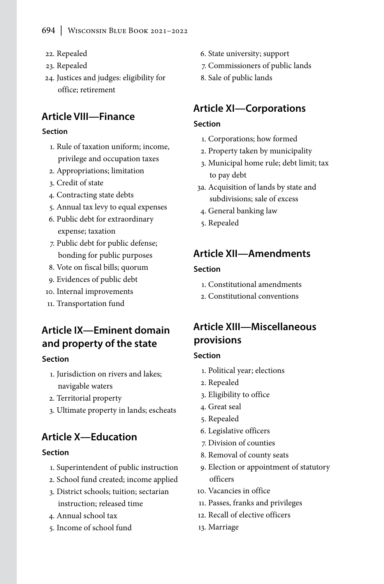- 22. Repealed
- 23. Repealed
- 24. Justices and judges: eligibility for office; retirement

## **Article VIII—Finance**

### **Section**

- 1. Rule of taxation uniform; income, privilege and occupation taxes
- 2. Appropriations; limitation
- 3. Credit of state
- 4. Contracting state debts
- 5. Annual tax levy to equal expenses
- 6. Public debt for extraordinary expense; taxation
- 7. Public debt for public defense; bonding for public purposes
- 8. Vote on fiscal bills; quorum
- 9. Evidences of public debt
- 10. Internal improvements
- 11. Transportation fund

# **Article IX—Eminent domain and property of the state**

### **Section**

- 1. Jurisdiction on rivers and lakes; navigable waters
- 2. Territorial property
- 3. Ultimate property in lands; escheats

## **Article X—Education**

### **Section**

- 1. Superintendent of public instruction
- 2. School fund created; income applied
- 3. District schools; tuition; sectarian instruction; released time
- 4. Annual school tax
- 5. Income of school fund
- 6. State university; support
- 7. Commissioners of public lands
- 8. Sale of public lands

## **Article XI—Corporations**

### **Section**

- 1. Corporations; how formed
- 2. Property taken by municipality
- 3. Municipal home rule; debt limit; tax to pay debt
- 3a. Acquisition of lands by state and subdivisions; sale of excess
- 4. General banking law
- 5. Repealed

## **Article XII—Amendments**

### **Section**

- 1. Constitutional amendments
- 2. Constitutional conventions

# **Article XIII—Miscellaneous provisions**

### **Section**

- 1. Political year; elections
- 2. Repealed
- 3. Eligibility to office
- 4. Great seal
- 5. Repealed
- 6. Legislative officers
- 7. Division of counties
- 8. Removal of county seats
- 9. Election or appointment of statutory officers
- 10. Vacancies in office
- 11. Passes, franks and privileges
- 12. Recall of elective officers
- 13. Marriage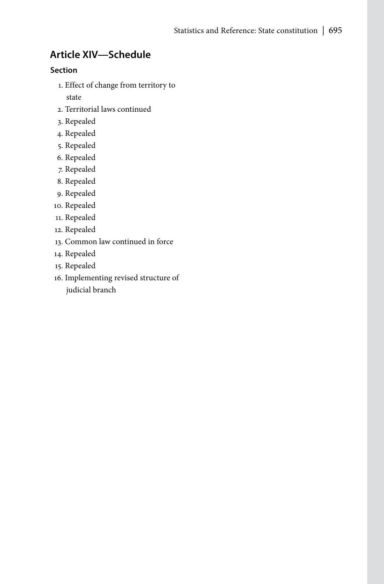# **Article XIV—Schedule**

### **Section**

1. Effect of change from territory to

state

- 2. Territorial laws continued
- 3. Repealed
- 4. Repealed
- 5. Repealed
- 6. Repealed
- 7. Repealed
- 8. Repealed
- 9. Repealed
- 10. Repealed
- 11. Repealed
- 12. Repealed
- 13. Common law continued in force
- 14. Repealed
- 15. Repealed
- 16. Implementing revised structure of judicial branch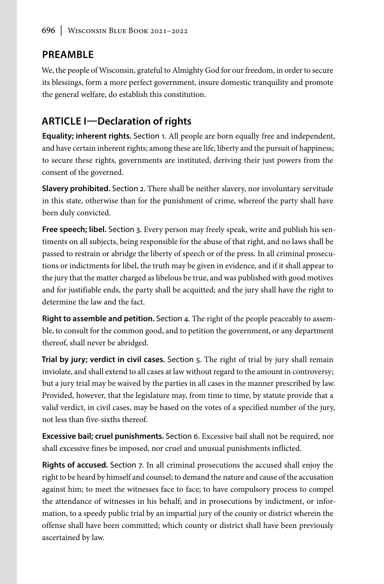## **PREAMBLE**

We, the people of Wisconsin, grateful to Almighty God for our freedom, in order to secure its blessings, form a more perfect government, insure domestic tranquility and promote the general welfare, do establish this constitution.

# **ARTICLE I—Declaration of rights**

**Equality; inherent rights.** Section 1. All people are born equally free and independent, and have certain inherent rights; among these are life, liberty and the pursuit of happiness; to secure these rights, governments are instituted, deriving their just powers from the consent of the governed.

**Slavery prohibited.** Section 2. There shall be neither slavery, nor involuntary servitude in this state, otherwise than for the punishment of crime, whereof the party shall have been duly convicted.

**Free speech; libel.** Section 3. Every person may freely speak, write and publish his sentiments on all subjects, being responsible for the abuse of that right, and no laws shall be passed to restrain or abridge the liberty of speech or of the press. In all criminal prosecutions or indictments for libel, the truth may be given in evidence, and if it shall appear to the jury that the matter charged as libelous be true, and was published with good motives and for justifiable ends, the party shall be acquitted; and the jury shall have the right to determine the law and the fact.

**Right to assemble and petition.** Section 4. The right of the people peaceably to assemble, to consult for the common good, and to petition the government, or any department thereof, shall never be abridged.

**Trial by jury; verdict in civil cases.** Section 5. The right of trial by jury shall remain inviolate, and shall extend to all cases at law without regard to the amount in controversy; but a jury trial may be waived by the parties in all cases in the manner prescribed by law. Provided, however, that the legislature may, from time to time, by statute provide that a valid verdict, in civil cases, may be based on the votes of a specified number of the jury, not less than five-sixths thereof.

**Excessive bail; cruel punishments.** Section 6. Excessive bail shall not be required, nor shall excessive fines be imposed, nor cruel and unusual punishments inflicted.

**Rights of accused.** Section 7. In all criminal prosecutions the accused shall enjoy the right to be heard by himself and counsel; to demand the nature and cause of the accusation against him; to meet the witnesses face to face; to have compulsory process to compel the attendance of witnesses in his behalf; and in prosecutions by indictment, or information, to a speedy public trial by an impartial jury of the county or district wherein the offense shall have been committed; which county or district shall have been previously ascertained by law.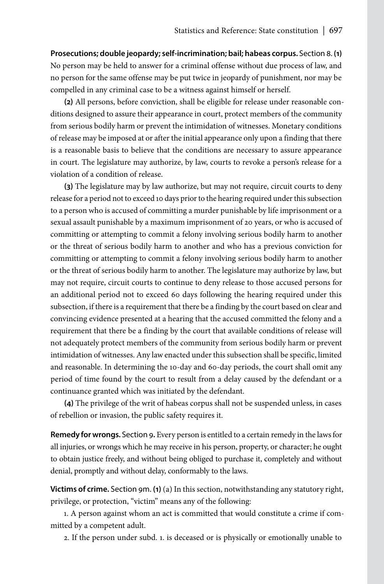**Prosecutions; double jeopardy; self-incrimination; bail; habeas corpus.** Section 8. **(1)** No person may be held to answer for a criminal offense without due process of law, and no person for the same offense may be put twice in jeopardy of punishment, nor may be compelled in any criminal case to be a witness against himself or herself.

**(2)** All persons, before conviction, shall be eligible for release under reasonable conditions designed to assure their appearance in court, protect members of the community from serious bodily harm or prevent the intimidation of witnesses. Monetary conditions of release may be imposed at or after the initial appearance only upon a finding that there is a reasonable basis to believe that the conditions are necessary to assure appearance in court. The legislature may authorize, by law, courts to revoke a person's release for a violation of a condition of release.

**(3)** The legislature may by law authorize, but may not require, circuit courts to deny release for a period not to exceed 10 days prior to the hearing required under this subsection to a person who is accused of committing a murder punishable by life imprisonment or a sexual assault punishable by a maximum imprisonment of 20 years, or who is accused of committing or attempting to commit a felony involving serious bodily harm to another or the threat of serious bodily harm to another and who has a previous conviction for committing or attempting to commit a felony involving serious bodily harm to another or the threat of serious bodily harm to another. The legislature may authorize by law, but may not require, circuit courts to continue to deny release to those accused persons for an additional period not to exceed 60 days following the hearing required under this subsection, if there is a requirement that there be a finding by the court based on clear and convincing evidence presented at a hearing that the accused committed the felony and a requirement that there be a finding by the court that available conditions of release will not adequately protect members of the community from serious bodily harm or prevent intimidation of witnesses. Any law enacted under this subsection shall be specific, limited and reasonable. In determining the 10-day and 60-day periods, the court shall omit any period of time found by the court to result from a delay caused by the defendant or a continuance granted which was initiated by the defendant.

**(4)** The privilege of the writ of habeas corpus shall not be suspended unless, in cases of rebellion or invasion, the public safety requires it.

**Remedy for wrongs.** Section 9**.** Every person is entitled to a certain remedy in the laws for all injuries, or wrongs which he may receive in his person, property, or character; he ought to obtain justice freely, and without being obliged to purchase it, completely and without denial, promptly and without delay, conformably to the laws.

**Victims of crime.** Section 9m. **(1)** (a) In this section, notwithstanding any statutory right, privilege, or protection, "victim" means any of the following:

1. A person against whom an act is committed that would constitute a crime if committed by a competent adult.

2. If the person under subd. 1. is deceased or is physically or emotionally unable to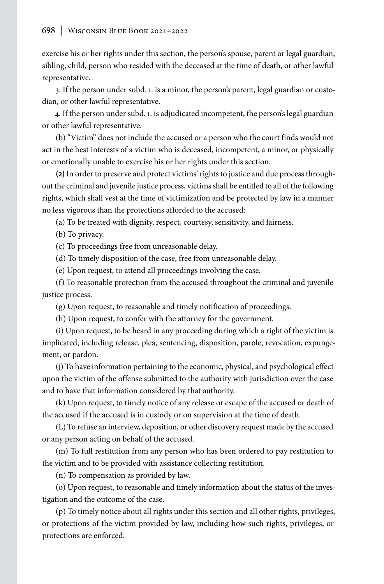exercise his or her rights under this section, the person's spouse, parent or legal guardian, sibling, child, person who resided with the deceased at the time of death, or other lawful representative.

3. If the person under subd. 1. is a minor, the person's parent, legal guardian or custodian, or other lawful representative.

4. If the person under subd. 1. is adjudicated incompetent, the person's legal guardian or other lawful representative.

(b) "Victim" does not include the accused or a person who the court finds would not act in the best interests of a victim who is deceased, incompetent, a minor, or physically or emotionally unable to exercise his or her rights under this section.

**(2)** In order to preserve and protect victims' rights to justice and due process throughout the criminal and juvenile justice process, victims shall be entitled to all of the following rights, which shall vest at the time of victimization and be protected by law in a manner no less vigorous than the protections afforded to the accused:

(a) To be treated with dignity, respect, courtesy, sensitivity, and fairness.

(b) To privacy.

(c) To proceedings free from unreasonable delay.

(d) To timely disposition of the case, free from unreasonable delay.

(e) Upon request, to attend all proceedings involving the case.

(f) To reasonable protection from the accused throughout the criminal and juvenile justice process.

(g) Upon request, to reasonable and timely notification of proceedings.

(h) Upon request, to confer with the attorney for the government.

(i) Upon request, to be heard in any proceeding during which a right of the victim is implicated, including release, plea, sentencing, disposition, parole, revocation, expungement, or pardon.

(j) To have information pertaining to the economic, physical, and psychological effect upon the victim of the offense submitted to the authority with jurisdiction over the case and to have that information considered by that authority.

(k) Upon request, to timely notice of any release or escape of the accused or death of the accused if the accused is in custody or on supervision at the time of death.

(L) To refuse an interview, deposition, or other discovery request made by the accused or any person acting on behalf of the accused.

(m) To full restitution from any person who has been ordered to pay restitution to the victim and to be provided with assistance collecting restitution.

(n) To compensation as provided by law.

(o) Upon request, to reasonable and timely information about the status of the investigation and the outcome of the case.

(p) To timely notice about all rights under this section and all other rights, privileges, or protections of the victim provided by law, including how such rights, privileges, or protections are enforced.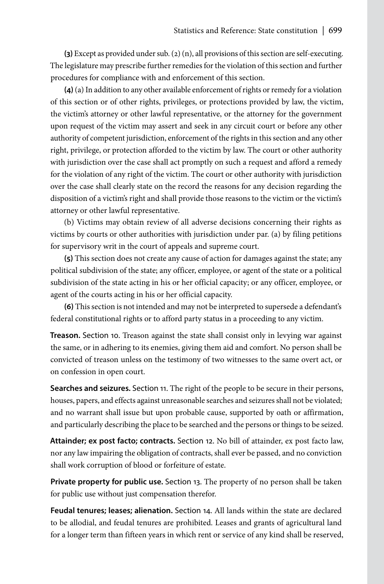**(3)** Except as provided under sub. (2) (n), all provisions of this section are self-executing. The legislature may prescribe further remedies for the violation of this section and further procedures for compliance with and enforcement of this section.

**(4)** (a) In addition to any other available enforcement of rights or remedy for a violation of this section or of other rights, privileges, or protections provided by law, the victim, the victim's attorney or other lawful representative, or the attorney for the government upon request of the victim may assert and seek in any circuit court or before any other authority of competent jurisdiction, enforcement of the rights in this section and any other right, privilege, or protection afforded to the victim by law. The court or other authority with jurisdiction over the case shall act promptly on such a request and afford a remedy for the violation of any right of the victim. The court or other authority with jurisdiction over the case shall clearly state on the record the reasons for any decision regarding the disposition of a victim's right and shall provide those reasons to the victim or the victim's attorney or other lawful representative.

(b) Victims may obtain review of all adverse decisions concerning their rights as victims by courts or other authorities with jurisdiction under par. (a) by filing petitions for supervisory writ in the court of appeals and supreme court.

**(5)** This section does not create any cause of action for damages against the state; any political subdivision of the state; any officer, employee, or agent of the state or a political subdivision of the state acting in his or her official capacity; or any officer, employee, or agent of the courts acting in his or her official capacity.

**(6)** This section is not intended and may not be interpreted to supersede a defendant's federal constitutional rights or to afford party status in a proceeding to any victim.

**Treason.** Section 10. Treason against the state shall consist only in levying war against the same, or in adhering to its enemies, giving them aid and comfort. No person shall be convicted of treason unless on the testimony of two witnesses to the same overt act, or on confession in open court.

**Searches and seizures.** Section 11. The right of the people to be secure in their persons, houses, papers, and effects against unreasonable searches and seizures shall not be violated; and no warrant shall issue but upon probable cause, supported by oath or affirmation, and particularly describing the place to be searched and the persons or things to be seized.

**Attainder; ex post facto; contracts.** Section 12. No bill of attainder, ex post facto law, nor any law impairing the obligation of contracts, shall ever be passed, and no conviction shall work corruption of blood or forfeiture of estate.

**Private property for public use.** Section 13. The property of no person shall be taken for public use without just compensation therefor.

**Feudal tenures; leases; alienation.** Section 14. All lands within the state are declared to be allodial, and feudal tenures are prohibited. Leases and grants of agricultural land for a longer term than fifteen years in which rent or service of any kind shall be reserved,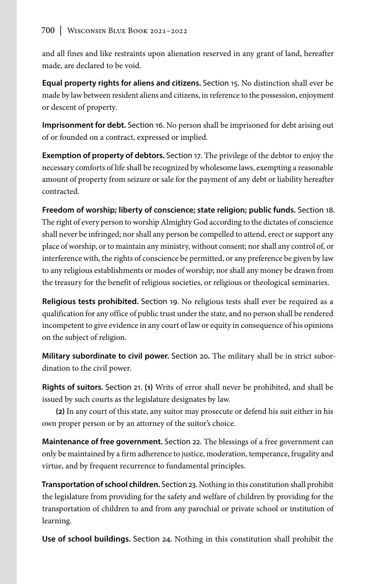and all fines and like restraints upon alienation reserved in any grant of land, hereafter made, are declared to be void.

**Equal property rights for aliens and citizens.** Section 15. No distinction shall ever be made by law between resident aliens and citizens, in reference to the possession, enjoyment or descent of property.

**Imprisonment for debt.** Section 16. No person shall be imprisoned for debt arising out of or founded on a contract, expressed or implied.

**Exemption of property of debtors.** Section 17. The privilege of the debtor to enjoy the necessary comforts of life shall be recognized by wholesome laws, exempting a reasonable amount of property from seizure or sale for the payment of any debt or liability hereafter contracted.

**Freedom of worship; liberty of conscience; state religion; public funds.** Section 18. The right of every person to worship Almighty God according to the dictates of conscience shall never be infringed; nor shall any person be compelled to attend, erect or support any place of worship, or to maintain any ministry, without consent; nor shall any control of, or interference with, the rights of conscience be permitted, or any preference be given by law to any religious establishments or modes of worship; nor shall any money be drawn from the treasury for the benefit of religious societies, or religious or theological seminaries.

**Religious tests prohibited.** Section 19. No religious tests shall ever be required as a qualification for any office of public trust under the state, and no person shall be rendered incompetent to give evidence in any court of law or equity in consequence of his opinions on the subject of religion.

**Military subordinate to civil power.** Section 20**.** The military shall be in strict subordination to the civil power.

**Rights of suitors.** Section 21. **(1)** Writs of error shall never be prohibited, and shall be issued by such courts as the legislature designates by law.

**(2)** In any court of this state, any suitor may prosecute or defend his suit either in his own proper person or by an attorney of the suitor's choice.

**Maintenance of free government.** Section 22. The blessings of a free government can only be maintained by a firm adherence to justice, moderation, temperance, frugality and virtue, and by frequent recurrence to fundamental principles.

**Transportation of school children.** Section 23. Nothing in this constitution shall prohibit the legislature from providing for the safety and welfare of children by providing for the transportation of children to and from any parochial or private school or institution of learning.

**Use of school buildings.** Section 24. Nothing in this constitution shall prohibit the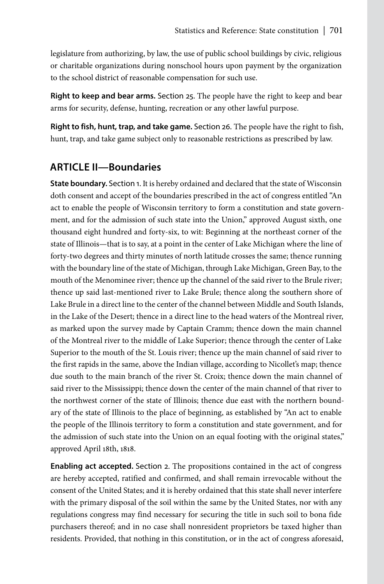legislature from authorizing, by law, the use of public school buildings by civic, religious or charitable organizations during nonschool hours upon payment by the organization to the school district of reasonable compensation for such use.

**Right to keep and bear arms.** Section 25. The people have the right to keep and bear arms for security, defense, hunting, recreation or any other lawful purpose.

**Right to fish, hunt, trap, and take game.** Section 26. The people have the right to fish, hunt, trap, and take game subject only to reasonable restrictions as prescribed by law.

## **ARTICLE II—Boundaries**

**State boundary.** Section 1. It is hereby ordained and declared that the state of Wisconsin doth consent and accept of the boundaries prescribed in the act of congress entitled "An act to enable the people of Wisconsin territory to form a constitution and state government, and for the admission of such state into the Union," approved August sixth, one thousand eight hundred and forty-six, to wit: Beginning at the northeast corner of the state of Illinois—that is to say, at a point in the center of Lake Michigan where the line of forty-two degrees and thirty minutes of north latitude crosses the same; thence running with the boundary line of the state of Michigan, through Lake Michigan, Green Bay, to the mouth of the Menominee river; thence up the channel of the said river to the Brule river; thence up said last-mentioned river to Lake Brule; thence along the southern shore of Lake Brule in a direct line to the center of the channel between Middle and South Islands, in the Lake of the Desert; thence in a direct line to the head waters of the Montreal river, as marked upon the survey made by Captain Cramm; thence down the main channel of the Montreal river to the middle of Lake Superior; thence through the center of Lake Superior to the mouth of the St. Louis river; thence up the main channel of said river to the first rapids in the same, above the Indian village, according to Nicollet's map; thence due south to the main branch of the river St. Croix; thence down the main channel of said river to the Mississippi; thence down the center of the main channel of that river to the northwest corner of the state of Illinois; thence due east with the northern boundary of the state of Illinois to the place of beginning, as established by "An act to enable the people of the Illinois territory to form a constitution and state government, and for the admission of such state into the Union on an equal footing with the original states," approved April 18th, 1818.

**Enabling act accepted.** Section 2. The propositions contained in the act of congress are hereby accepted, ratified and confirmed, and shall remain irrevocable without the consent of the United States; and it is hereby ordained that this state shall never interfere with the primary disposal of the soil within the same by the United States, nor with any regulations congress may find necessary for securing the title in such soil to bona fide purchasers thereof; and in no case shall nonresident proprietors be taxed higher than residents. Provided, that nothing in this constitution, or in the act of congress aforesaid,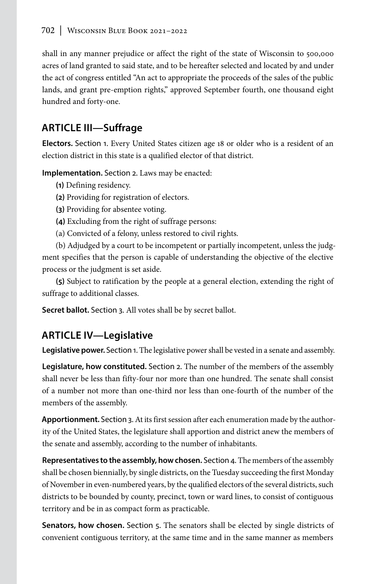shall in any manner prejudice or affect the right of the state of Wisconsin to 500,000 acres of land granted to said state, and to be hereafter selected and located by and under the act of congress entitled "An act to appropriate the proceeds of the sales of the public lands, and grant pre-emption rights," approved September fourth, one thousand eight hundred and forty-one.

## **ARTICLE III—Suffrage**

**Electors.** Section 1. Every United States citizen age 18 or older who is a resident of an election district in this state is a qualified elector of that district.

**Implementation.** Section 2. Laws may be enacted:

- **(1)** Defining residency.
- **(2)** Providing for registration of electors.
- **(3)** Providing for absentee voting.
- **(4)** Excluding from the right of suffrage persons:
- (a) Convicted of a felony, unless restored to civil rights.

(b) Adjudged by a court to be incompetent or partially incompetent, unless the judgment specifies that the person is capable of understanding the objective of the elective process or the judgment is set aside.

**(5)** Subject to ratification by the people at a general election, extending the right of suffrage to additional classes.

**Secret ballot.** Section 3. All votes shall be by secret ballot.

## **ARTICLE IV—Legislative**

**Legislative power.** Section 1. The legislative power shall be vested in a senate and assembly.

**Legislature, how constituted.** Section 2. The number of the members of the assembly shall never be less than fifty-four nor more than one hundred. The senate shall consist of a number not more than one-third nor less than one-fourth of the number of the members of the assembly.

**Apportionment.** Section 3. At its first session after each enumeration made by the authority of the United States, the legislature shall apportion and district anew the members of the senate and assembly, according to the number of inhabitants.

**Representatives to the assembly, how chosen.** Section 4. The members of the assembly shall be chosen biennially, by single districts, on the Tuesday succeeding the first Monday of November in even-numbered years, by the qualified electors of the several districts, such districts to be bounded by county, precinct, town or ward lines, to consist of contiguous territory and be in as compact form as practicable.

**Senators, how chosen.** Section 5. The senators shall be elected by single districts of convenient contiguous territory, at the same time and in the same manner as members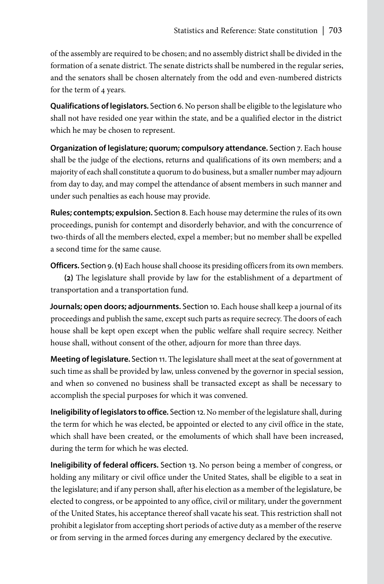of the assembly are required to be chosen; and no assembly district shall be divided in the formation of a senate district. The senate districts shall be numbered in the regular series, and the senators shall be chosen alternately from the odd and even-numbered districts for the term of 4 years.

**Qualifications of legislators.** Section 6. No person shall be eligible to the legislature who shall not have resided one year within the state, and be a qualified elector in the district which he may be chosen to represent.

**Organization of legislature; quorum; compulsory attendance.** Section 7. Each house shall be the judge of the elections, returns and qualifications of its own members; and a majority of each shall constitute a quorum to do business, but a smaller number may adjourn from day to day, and may compel the attendance of absent members in such manner and under such penalties as each house may provide.

**Rules; contempts; expulsion.** Section 8. Each house may determine the rules of its own proceedings, punish for contempt and disorderly behavior, and with the concurrence of two-thirds of all the members elected, expel a member; but no member shall be expelled a second time for the same cause.

**Officers.** Section 9. **(1)** Each house shall choose its presiding officers from its own members.

**(2)** The legislature shall provide by law for the establishment of a department of transportation and a transportation fund.

**Journals; open doors; adjournments.** Section 10. Each house shall keep a journal of its proceedings and publish the same, except such parts as require secrecy. The doors of each house shall be kept open except when the public welfare shall require secrecy. Neither house shall, without consent of the other, adjourn for more than three days.

**Meeting of legislature.** Section 11. The legislature shall meet at the seat of government at such time as shall be provided by law, unless convened by the governor in special session, and when so convened no business shall be transacted except as shall be necessary to accomplish the special purposes for which it was convened.

**Ineligibility of legislators to office.** Section 12. No member of the legislature shall, during the term for which he was elected, be appointed or elected to any civil office in the state, which shall have been created, or the emoluments of which shall have been increased, during the term for which he was elected.

**Ineligibility of federal officers.** Section 13. No person being a member of congress, or holding any military or civil office under the United States, shall be eligible to a seat in the legislature; and if any person shall, after his election as a member of the legislature, be elected to congress, or be appointed to any office, civil or military, under the government of the United States, his acceptance thereof shall vacate his seat. This restriction shall not prohibit a legislator from accepting short periods of active duty as a member of the reserve or from serving in the armed forces during any emergency declared by the executive.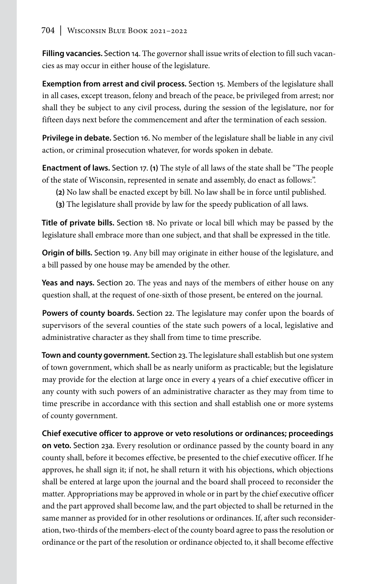**Filling vacancies.** Section 14. The governor shall issue writs of election to fill such vacancies as may occur in either house of the legislature.

**Exemption from arrest and civil process.** Section 15. Members of the legislature shall in all cases, except treason, felony and breach of the peace, be privileged from arrest; nor shall they be subject to any civil process, during the session of the legislature, nor for fifteen days next before the commencement and after the termination of each session.

**Privilege in debate.** Section 16. No member of the legislature shall be liable in any civil action, or criminal prosecution whatever, for words spoken in debate.

**Enactment of laws.** Section 17. **(1)** The style of all laws of the state shall be "The people of the state of Wisconsin, represented in senate and assembly, do enact as follows:".

- **(2)** No law shall be enacted except by bill. No law shall be in force until published.
- **(3)** The legislature shall provide by law for the speedy publication of all laws.

**Title of private bills.** Section 18. No private or local bill which may be passed by the legislature shall embrace more than one subject, and that shall be expressed in the title.

**Origin of bills.** Section 19. Any bill may originate in either house of the legislature, and a bill passed by one house may be amended by the other.

Yeas and nays. Section 20. The yeas and nays of the members of either house on any question shall, at the request of one-sixth of those present, be entered on the journal.

**Powers of county boards.** Section 22. The legislature may confer upon the boards of supervisors of the several counties of the state such powers of a local, legislative and administrative character as they shall from time to time prescribe.

**Town and county government.** Section 23. The legislature shall establish but one system of town government, which shall be as nearly uniform as practicable; but the legislature may provide for the election at large once in every 4 years of a chief executive officer in any county with such powers of an administrative character as they may from time to time prescribe in accordance with this section and shall establish one or more systems of county government.

**Chief executive officer to approve or veto resolutions or ordinances; proceedings on veto.** Section 23a. Every resolution or ordinance passed by the county board in any county shall, before it becomes effective, be presented to the chief executive officer. If he approves, he shall sign it; if not, he shall return it with his objections, which objections shall be entered at large upon the journal and the board shall proceed to reconsider the matter. Appropriations may be approved in whole or in part by the chief executive officer and the part approved shall become law, and the part objected to shall be returned in the same manner as provided for in other resolutions or ordinances. If, after such reconsideration, two-thirds of the members-elect of the county board agree to pass the resolution or ordinance or the part of the resolution or ordinance objected to, it shall become effective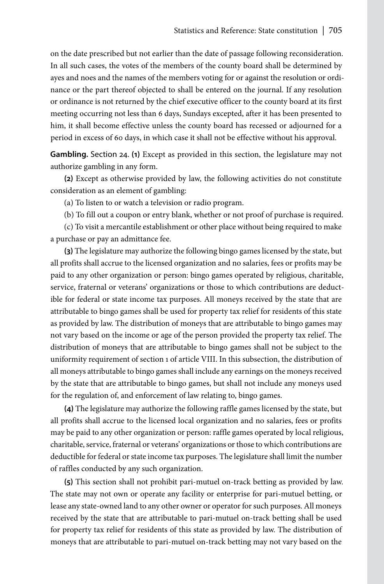on the date prescribed but not earlier than the date of passage following reconsideration. In all such cases, the votes of the members of the county board shall be determined by ayes and noes and the names of the members voting for or against the resolution or ordinance or the part thereof objected to shall be entered on the journal. If any resolution or ordinance is not returned by the chief executive officer to the county board at its first meeting occurring not less than 6 days, Sundays excepted, after it has been presented to him, it shall become effective unless the county board has recessed or adjourned for a period in excess of 60 days, in which case it shall not be effective without his approval.

**Gambling.** Section 24. **(1)** Except as provided in this section, the legislature may not authorize gambling in any form.

**(2)** Except as otherwise provided by law, the following activities do not constitute consideration as an element of gambling:

(a) To listen to or watch a television or radio program.

(b) To fill out a coupon or entry blank, whether or not proof of purchase is required.

(c) To visit a mercantile establishment or other place without being required to make a purchase or pay an admittance fee.

**(3)** The legislature may authorize the following bingo games licensed by the state, but all profits shall accrue to the licensed organization and no salaries, fees or profits may be paid to any other organization or person: bingo games operated by religious, charitable, service, fraternal or veterans' organizations or those to which contributions are deductible for federal or state income tax purposes. All moneys received by the state that are attributable to bingo games shall be used for property tax relief for residents of this state as provided by law. The distribution of moneys that are attributable to bingo games may not vary based on the income or age of the person provided the property tax relief. The distribution of moneys that are attributable to bingo games shall not be subject to the uniformity requirement of section 1 of article VIII. In this subsection, the distribution of all moneys attributable to bingo games shall include any earnings on the moneys received by the state that are attributable to bingo games, but shall not include any moneys used for the regulation of, and enforcement of law relating to, bingo games.

**(4)** The legislature may authorize the following raffle games licensed by the state, but all profits shall accrue to the licensed local organization and no salaries, fees or profits may be paid to any other organization or person: raffle games operated by local religious, charitable, service, fraternal or veterans' organizations or those to which contributions are deductible for federal or state income tax purposes. The legislature shall limit the number of raffles conducted by any such organization.

**(5)** This section shall not prohibit pari-mutuel on-track betting as provided by law. The state may not own or operate any facility or enterprise for pari-mutuel betting, or lease any state-owned land to any other owner or operator for such purposes. All moneys received by the state that are attributable to pari-mutuel on-track betting shall be used for property tax relief for residents of this state as provided by law. The distribution of moneys that are attributable to pari-mutuel on-track betting may not vary based on the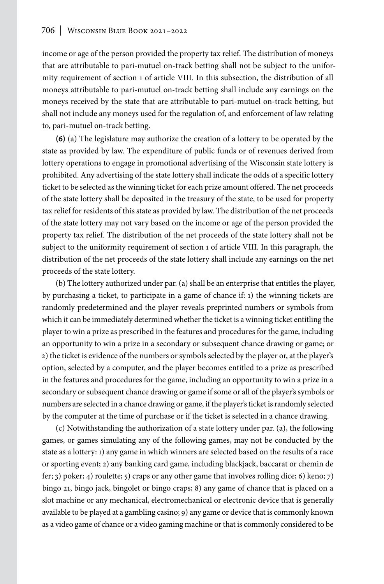income or age of the person provided the property tax relief. The distribution of moneys that are attributable to pari-mutuel on-track betting shall not be subject to the uniformity requirement of section 1 of article VIII. In this subsection, the distribution of all moneys attributable to pari-mutuel on-track betting shall include any earnings on the moneys received by the state that are attributable to pari-mutuel on-track betting, but shall not include any moneys used for the regulation of, and enforcement of law relating to, pari-mutuel on-track betting.

**(6)** (a) The legislature may authorize the creation of a lottery to be operated by the state as provided by law. The expenditure of public funds or of revenues derived from lottery operations to engage in promotional advertising of the Wisconsin state lottery is prohibited. Any advertising of the state lottery shall indicate the odds of a specific lottery ticket to be selected as the winning ticket for each prize amount offered. The net proceeds of the state lottery shall be deposited in the treasury of the state, to be used for property tax relief for residents of this state as provided by law. The distribution of the net proceeds of the state lottery may not vary based on the income or age of the person provided the property tax relief. The distribution of the net proceeds of the state lottery shall not be subject to the uniformity requirement of section 1 of article VIII. In this paragraph, the distribution of the net proceeds of the state lottery shall include any earnings on the net proceeds of the state lottery.

(b) The lottery authorized under par. (a) shall be an enterprise that entitles the player, by purchasing a ticket, to participate in a game of chance if: 1) the winning tickets are randomly predetermined and the player reveals preprinted numbers or symbols from which it can be immediately determined whether the ticket is a winning ticket entitling the player to win a prize as prescribed in the features and procedures for the game, including an opportunity to win a prize in a secondary or subsequent chance drawing or game; or 2) the ticket is evidence of the numbers or symbols selected by the player or, at the player's option, selected by a computer, and the player becomes entitled to a prize as prescribed in the features and procedures for the game, including an opportunity to win a prize in a secondary or subsequent chance drawing or game if some or all of the player's symbols or numbers are selected in a chance drawing or game, if the player's ticket is randomly selected by the computer at the time of purchase or if the ticket is selected in a chance drawing.

(c) Notwithstanding the authorization of a state lottery under par. (a), the following games, or games simulating any of the following games, may not be conducted by the state as a lottery: 1) any game in which winners are selected based on the results of a race or sporting event; 2) any banking card game, including blackjack, baccarat or chemin de fer; 3) poker; 4) roulette; 5) craps or any other game that involves rolling dice; 6) keno; 7) bingo 21, bingo jack, bingolet or bingo craps; 8) any game of chance that is placed on a slot machine or any mechanical, electromechanical or electronic device that is generally available to be played at a gambling casino; 9) any game or device that is commonly known as a video game of chance or a video gaming machine or that is commonly considered to be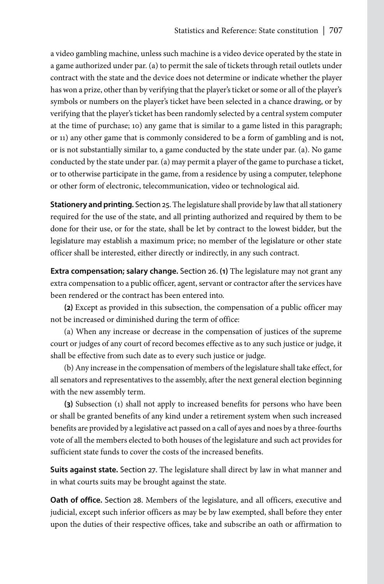a video gambling machine, unless such machine is a video device operated by the state in a game authorized under par. (a) to permit the sale of tickets through retail outlets under contract with the state and the device does not determine or indicate whether the player has won a prize, other than by verifying that the player's ticket or some or all of the player's symbols or numbers on the player's ticket have been selected in a chance drawing, or by verifying that the player's ticket has been randomly selected by a central system computer at the time of purchase; 10) any game that is similar to a game listed in this paragraph; or 11) any other game that is commonly considered to be a form of gambling and is not, or is not substantially similar to, a game conducted by the state under par. (a). No game conducted by the state under par. (a) may permit a player of the game to purchase a ticket, or to otherwise participate in the game, from a residence by using a computer, telephone or other form of electronic, telecommunication, video or technological aid.

**Stationery and printing.** Section 25. The legislature shall provide by law that all stationery required for the use of the state, and all printing authorized and required by them to be done for their use, or for the state, shall be let by contract to the lowest bidder, but the legislature may establish a maximum price; no member of the legislature or other state officer shall be interested, either directly or indirectly, in any such contract.

**Extra compensation; salary change.** Section 26. **(1)** The legislature may not grant any extra compensation to a public officer, agent, servant or contractor after the services have been rendered or the contract has been entered into.

**(2)** Except as provided in this subsection, the compensation of a public officer may not be increased or diminished during the term of office:

(a) When any increase or decrease in the compensation of justices of the supreme court or judges of any court of record becomes effective as to any such justice or judge, it shall be effective from such date as to every such justice or judge.

(b) Any increase in the compensation of members of the legislature shall take effect, for all senators and representatives to the assembly, after the next general election beginning with the new assembly term.

**(3)** Subsection (1) shall not apply to increased benefits for persons who have been or shall be granted benefits of any kind under a retirement system when such increased benefits are provided by a legislative act passed on a call of ayes and noes by a three-fourths vote of all the members elected to both houses of the legislature and such act provides for sufficient state funds to cover the costs of the increased benefits.

**Suits against state.** Section 27. The legislature shall direct by law in what manner and in what courts suits may be brought against the state.

**Oath of office.** Section 28. Members of the legislature, and all officers, executive and judicial, except such inferior officers as may be by law exempted, shall before they enter upon the duties of their respective offices, take and subscribe an oath or affirmation to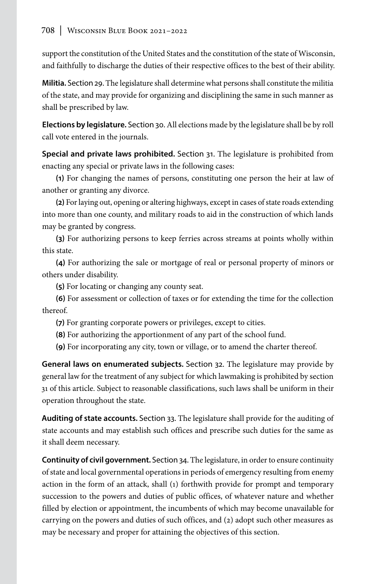support the constitution of the United States and the constitution of the state of Wisconsin, and faithfully to discharge the duties of their respective offices to the best of their ability.

**Militia.** Section 29. The legislature shall determine what persons shall constitute the militia of the state, and may provide for organizing and disciplining the same in such manner as shall be prescribed by law.

**Elections by legislature.** Section 30. All elections made by the legislature shall be by roll call vote entered in the journals.

**Special and private laws prohibited.** Section 31. The legislature is prohibited from enacting any special or private laws in the following cases:

**(1)** For changing the names of persons, constituting one person the heir at law of another or granting any divorce.

**(2)** For laying out, opening or altering highways, except in cases of state roads extending into more than one county, and military roads to aid in the construction of which lands may be granted by congress.

**(3)** For authorizing persons to keep ferries across streams at points wholly within this state.

**(4)** For authorizing the sale or mortgage of real or personal property of minors or others under disability.

**(5)** For locating or changing any county seat.

**(6)** For assessment or collection of taxes or for extending the time for the collection thereof.

**(7)** For granting corporate powers or privileges, except to cities.

**(8)** For authorizing the apportionment of any part of the school fund.

**(9)** For incorporating any city, town or village, or to amend the charter thereof.

**General laws on enumerated subjects.** Section 32. The legislature may provide by general law for the treatment of any subject for which lawmaking is prohibited by section 31 of this article. Subject to reasonable classifications, such laws shall be uniform in their operation throughout the state.

**Auditing of state accounts.** Section 33. The legislature shall provide for the auditing of state accounts and may establish such offices and prescribe such duties for the same as it shall deem necessary.

**Continuity of civil government.** Section 34. The legislature, in order to ensure continuity of state and local governmental operations in periods of emergency resulting from enemy action in the form of an attack, shall (1) forthwith provide for prompt and temporary succession to the powers and duties of public offices, of whatever nature and whether filled by election or appointment, the incumbents of which may become unavailable for carrying on the powers and duties of such offices, and (2) adopt such other measures as may be necessary and proper for attaining the objectives of this section.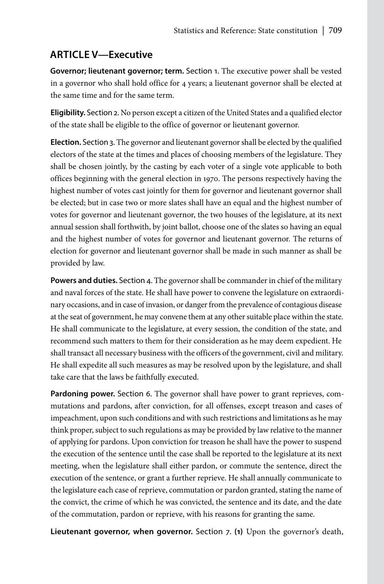## **ARTICLE V—Executive**

**Governor; lieutenant governor; term.** Section 1. The executive power shall be vested in a governor who shall hold office for 4 years; a lieutenant governor shall be elected at the same time and for the same term.

**Eligibility.** Section 2. No person except a citizen of the United States and a qualified elector of the state shall be eligible to the office of governor or lieutenant governor.

**Election.** Section 3. The governor and lieutenant governor shall be elected by the qualified electors of the state at the times and places of choosing members of the legislature. They shall be chosen jointly, by the casting by each voter of a single vote applicable to both offices beginning with the general election in 1970. The persons respectively having the highest number of votes cast jointly for them for governor and lieutenant governor shall be elected; but in case two or more slates shall have an equal and the highest number of votes for governor and lieutenant governor, the two houses of the legislature, at its next annual session shall forthwith, by joint ballot, choose one of the slates so having an equal and the highest number of votes for governor and lieutenant governor. The returns of election for governor and lieutenant governor shall be made in such manner as shall be provided by law.

**Powers and duties.** Section 4. The governor shall be commander in chief of the military and naval forces of the state. He shall have power to convene the legislature on extraordinary occasions, and in case of invasion, or danger from the prevalence of contagious disease at the seat of government, he may convene them at any other suitable place within the state. He shall communicate to the legislature, at every session, the condition of the state, and recommend such matters to them for their consideration as he may deem expedient. He shall transact all necessary business with the officers of the government, civil and military. He shall expedite all such measures as may be resolved upon by the legislature, and shall take care that the laws be faithfully executed.

**Pardoning power.** Section 6. The governor shall have power to grant reprieves, commutations and pardons, after conviction, for all offenses, except treason and cases of impeachment, upon such conditions and with such restrictions and limitations as he may think proper, subject to such regulations as may be provided by law relative to the manner of applying for pardons. Upon conviction for treason he shall have the power to suspend the execution of the sentence until the case shall be reported to the legislature at its next meeting, when the legislature shall either pardon, or commute the sentence, direct the execution of the sentence, or grant a further reprieve. He shall annually communicate to the legislature each case of reprieve, commutation or pardon granted, stating the name of the convict, the crime of which he was convicted, the sentence and its date, and the date of the commutation, pardon or reprieve, with his reasons for granting the same.

**Lieutenant governor, when governor.** Section 7. **(1)** Upon the governor's death,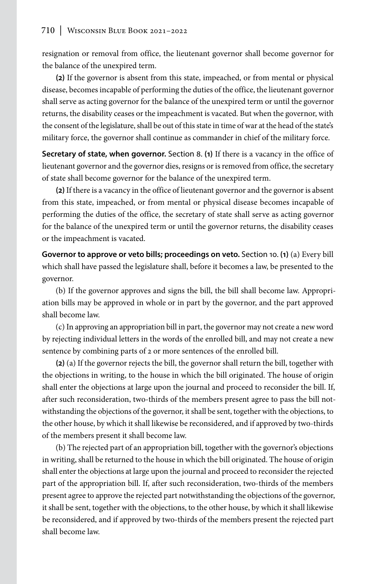resignation or removal from office, the lieutenant governor shall become governor for the balance of the unexpired term.

**(2)** If the governor is absent from this state, impeached, or from mental or physical disease, becomes incapable of performing the duties of the office, the lieutenant governor shall serve as acting governor for the balance of the unexpired term or until the governor returns, the disability ceases or the impeachment is vacated. But when the governor, with the consent of the legislature, shall be out of this state in time of war at the head of the state's military force, the governor shall continue as commander in chief of the military force.

**Secretary of state, when governor.** Section 8. **(1)** If there is a vacancy in the office of lieutenant governor and the governor dies, resigns or is removed from office, the secretary of state shall become governor for the balance of the unexpired term.

**(2)** If there is a vacancy in the office of lieutenant governor and the governor is absent from this state, impeached, or from mental or physical disease becomes incapable of performing the duties of the office, the secretary of state shall serve as acting governor for the balance of the unexpired term or until the governor returns, the disability ceases or the impeachment is vacated.

**Governor to approve or veto bills; proceedings on veto.** Section 10. **(1)** (a) Every bill which shall have passed the legislature shall, before it becomes a law, be presented to the governor.

(b) If the governor approves and signs the bill, the bill shall become law. Appropriation bills may be approved in whole or in part by the governor, and the part approved shall become law.

(c) In approving an appropriation bill in part, the governor may not create a new word by rejecting individual letters in the words of the enrolled bill, and may not create a new sentence by combining parts of 2 or more sentences of the enrolled bill.

**(2)** (a) If the governor rejects the bill, the governor shall return the bill, together with the objections in writing, to the house in which the bill originated. The house of origin shall enter the objections at large upon the journal and proceed to reconsider the bill. If, after such reconsideration, two-thirds of the members present agree to pass the bill notwithstanding the objections of the governor, it shall be sent, together with the objections, to the other house, by which it shall likewise be reconsidered, and if approved by two-thirds of the members present it shall become law.

(b) The rejected part of an appropriation bill, together with the governor's objections in writing, shall be returned to the house in which the bill originated. The house of origin shall enter the objections at large upon the journal and proceed to reconsider the rejected part of the appropriation bill. If, after such reconsideration, two-thirds of the members present agree to approve the rejected part notwithstanding the objections of the governor, it shall be sent, together with the objections, to the other house, by which it shall likewise be reconsidered, and if approved by two-thirds of the members present the rejected part shall become law.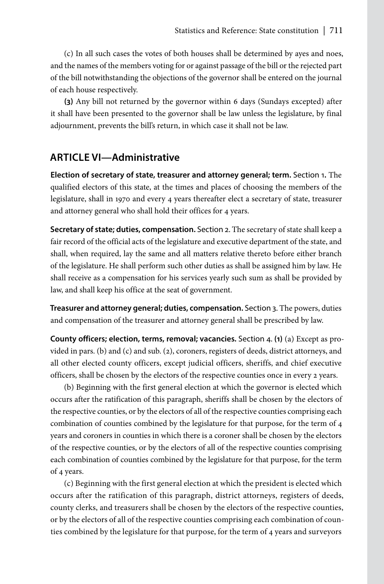(c) In all such cases the votes of both houses shall be determined by ayes and noes, and the names of the members voting for or against passage of the bill or the rejected part of the bill notwithstanding the objections of the governor shall be entered on the journal of each house respectively.

**(3)** Any bill not returned by the governor within 6 days (Sundays excepted) after it shall have been presented to the governor shall be law unless the legislature, by final adjournment, prevents the bill's return, in which case it shall not be law.

## **ARTICLE VI—Administrative**

**Election of secretary of state, treasurer and attorney general; term.** Section 1**.** The qualified electors of this state, at the times and places of choosing the members of the legislature, shall in 1970 and every 4 years thereafter elect a secretary of state, treasurer and attorney general who shall hold their offices for 4 years.

**Secretary of state; duties, compensation.** Section 2. The secretary of state shall keep a fair record of the official acts of the legislature and executive department of the state, and shall, when required, lay the same and all matters relative thereto before either branch of the legislature. He shall perform such other duties as shall be assigned him by law. He shall receive as a compensation for his services yearly such sum as shall be provided by law, and shall keep his office at the seat of government.

**Treasurer and attorney general; duties, compensation.** Section 3. The powers, duties and compensation of the treasurer and attorney general shall be prescribed by law.

**County officers; election, terms, removal; vacancies.** Section 4. **(1)** (a) Except as provided in pars. (b) and (c) and sub. (2), coroners, registers of deeds, district attorneys, and all other elected county officers, except judicial officers, sheriffs, and chief executive officers, shall be chosen by the electors of the respective counties once in every 2 years.

(b) Beginning with the first general election at which the governor is elected which occurs after the ratification of this paragraph, sheriffs shall be chosen by the electors of the respective counties, or by the electors of all of the respective counties comprising each combination of counties combined by the legislature for that purpose, for the term of 4 years and coroners in counties in which there is a coroner shall be chosen by the electors of the respective counties, or by the electors of all of the respective counties comprising each combination of counties combined by the legislature for that purpose, for the term of 4 years.

(c) Beginning with the first general election at which the president is elected which occurs after the ratification of this paragraph, district attorneys, registers of deeds, county clerks, and treasurers shall be chosen by the electors of the respective counties, or by the electors of all of the respective counties comprising each combination of counties combined by the legislature for that purpose, for the term of 4 years and surveyors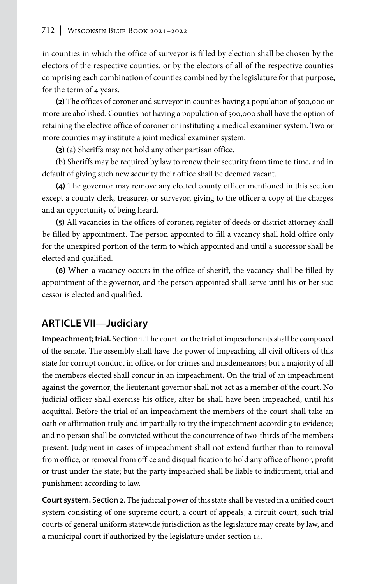#### 712 | Wisconsin Blue Book 2021–2022

in counties in which the office of surveyor is filled by election shall be chosen by the electors of the respective counties, or by the electors of all of the respective counties comprising each combination of counties combined by the legislature for that purpose, for the term of 4 years.

**(2)** The offices of coroner and surveyor in counties having a population of 500,000 or more are abolished. Counties not having a population of 500,000 shall have the option of retaining the elective office of coroner or instituting a medical examiner system. Two or more counties may institute a joint medical examiner system.

**(3)** (a) Sheriffs may not hold any other partisan office.

(b) Sheriffs may be required by law to renew their security from time to time, and in default of giving such new security their office shall be deemed vacant.

**(4)** The governor may remove any elected county officer mentioned in this section except a county clerk, treasurer, or surveyor, giving to the officer a copy of the charges and an opportunity of being heard.

**(5)** All vacancies in the offices of coroner, register of deeds or district attorney shall be filled by appointment. The person appointed to fill a vacancy shall hold office only for the unexpired portion of the term to which appointed and until a successor shall be elected and qualified.

**(6)** When a vacancy occurs in the office of sheriff, the vacancy shall be filled by appointment of the governor, and the person appointed shall serve until his or her successor is elected and qualified.

## **ARTICLE VII—Judiciary**

**Impeachment; trial.** Section 1. The court for the trial of impeachments shall be composed of the senate. The assembly shall have the power of impeaching all civil officers of this state for corrupt conduct in office, or for crimes and misdemeanors; but a majority of all the members elected shall concur in an impeachment. On the trial of an impeachment against the governor, the lieutenant governor shall not act as a member of the court. No judicial officer shall exercise his office, after he shall have been impeached, until his acquittal. Before the trial of an impeachment the members of the court shall take an oath or affirmation truly and impartially to try the impeachment according to evidence; and no person shall be convicted without the concurrence of two-thirds of the members present. Judgment in cases of impeachment shall not extend further than to removal from office, or removal from office and disqualification to hold any office of honor, profit or trust under the state; but the party impeached shall be liable to indictment, trial and punishment according to law.

**Court system.** Section 2. The judicial power of this state shall be vested in a unified court system consisting of one supreme court, a court of appeals, a circuit court, such trial courts of general uniform statewide jurisdiction as the legislature may create by law, and a municipal court if authorized by the legislature under section 14.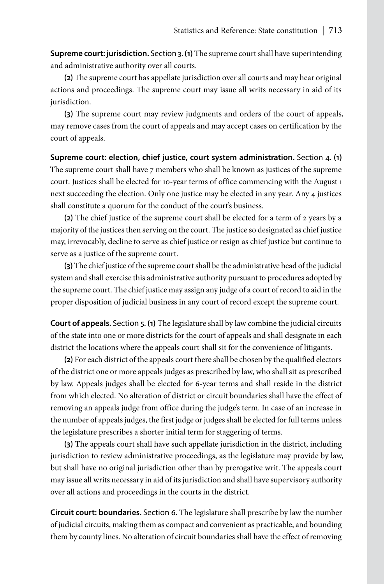**Supreme court: jurisdiction.** Section 3. **(1)** The supreme court shall have superintending and administrative authority over all courts.

**(2)** The supreme court has appellate jurisdiction over all courts and may hear original actions and proceedings. The supreme court may issue all writs necessary in aid of its jurisdiction.

**(3)** The supreme court may review judgments and orders of the court of appeals, may remove cases from the court of appeals and may accept cases on certification by the court of appeals.

**Supreme court: election, chief justice, court system administration.** Section 4. **(1)** The supreme court shall have 7 members who shall be known as justices of the supreme court. Justices shall be elected for 10-year terms of office commencing with the August 1 next succeeding the election. Only one justice may be elected in any year. Any 4 justices shall constitute a quorum for the conduct of the court's business.

**(2)** The chief justice of the supreme court shall be elected for a term of 2 years by a majority of the justices then serving on the court. The justice so designated as chief justice may, irrevocably, decline to serve as chief justice or resign as chief justice but continue to serve as a justice of the supreme court.

**(3)** The chief justice of the supreme court shall be the administrative head of the judicial system and shall exercise this administrative authority pursuant to procedures adopted by the supreme court. The chief justice may assign any judge of a court of record to aid in the proper disposition of judicial business in any court of record except the supreme court.

**Court of appeals.** Section 5. **(1)** The legislature shall by law combine the judicial circuits of the state into one or more districts for the court of appeals and shall designate in each district the locations where the appeals court shall sit for the convenience of litigants.

**(2)** For each district of the appeals court there shall be chosen by the qualified electors of the district one or more appeals judges as prescribed by law, who shall sit as prescribed by law. Appeals judges shall be elected for 6-year terms and shall reside in the district from which elected. No alteration of district or circuit boundaries shall have the effect of removing an appeals judge from office during the judge's term. In case of an increase in the number of appeals judges, the first judge or judges shall be elected for full terms unless the legislature prescribes a shorter initial term for staggering of terms.

**(3)** The appeals court shall have such appellate jurisdiction in the district, including jurisdiction to review administrative proceedings, as the legislature may provide by law, but shall have no original jurisdiction other than by prerogative writ. The appeals court may issue all writs necessary in aid of its jurisdiction and shall have supervisory authority over all actions and proceedings in the courts in the district.

**Circuit court: boundaries.** Section 6. The legislature shall prescribe by law the number of judicial circuits, making them as compact and convenient as practicable, and bounding them by county lines. No alteration of circuit boundaries shall have the effect of removing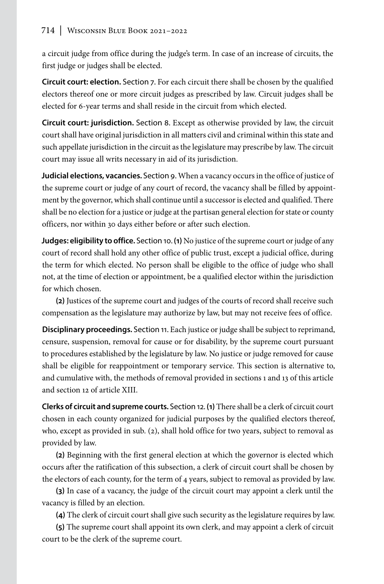a circuit judge from office during the judge's term. In case of an increase of circuits, the first judge or judges shall be elected.

**Circuit court: election.** Section 7. For each circuit there shall be chosen by the qualified electors thereof one or more circuit judges as prescribed by law. Circuit judges shall be elected for 6-year terms and shall reside in the circuit from which elected.

**Circuit court: jurisdiction.** Section 8. Except as otherwise provided by law, the circuit court shall have original jurisdiction in all matters civil and criminal within this state and such appellate jurisdiction in the circuit as the legislature may prescribe by law. The circuit court may issue all writs necessary in aid of its jurisdiction.

**Judicial elections, vacancies.** Section 9. When a vacancy occurs in the office of justice of the supreme court or judge of any court of record, the vacancy shall be filled by appointment by the governor, which shall continue until a successor is elected and qualified. There shall be no election for a justice or judge at the partisan general election for state or county officers, nor within 30 days either before or after such election.

**Judges: eligibility to office.** Section 10. **(1)** No justice of the supreme court or judge of any court of record shall hold any other office of public trust, except a judicial office, during the term for which elected. No person shall be eligible to the office of judge who shall not, at the time of election or appointment, be a qualified elector within the jurisdiction for which chosen.

**(2)** Justices of the supreme court and judges of the courts of record shall receive such compensation as the legislature may authorize by law, but may not receive fees of office.

**Disciplinary proceedings.** Section 11. Each justice or judge shall be subject to reprimand, censure, suspension, removal for cause or for disability, by the supreme court pursuant to procedures established by the legislature by law. No justice or judge removed for cause shall be eligible for reappointment or temporary service. This section is alternative to, and cumulative with, the methods of removal provided in sections 1 and 13 of this article and section 12 of article XIII.

**Clerks of circuit and supreme courts.** Section 12. **(1)** There shall be a clerk of circuit court chosen in each county organized for judicial purposes by the qualified electors thereof, who, except as provided in sub. (2), shall hold office for two years, subject to removal as provided by law.

**(2)** Beginning with the first general election at which the governor is elected which occurs after the ratification of this subsection, a clerk of circuit court shall be chosen by the electors of each county, for the term of 4 years, subject to removal as provided by law.

**(3)** In case of a vacancy, the judge of the circuit court may appoint a clerk until the vacancy is filled by an election.

**(4)** The clerk of circuit court shall give such security as the legislature requires by law.

**(5)** The supreme court shall appoint its own clerk, and may appoint a clerk of circuit court to be the clerk of the supreme court.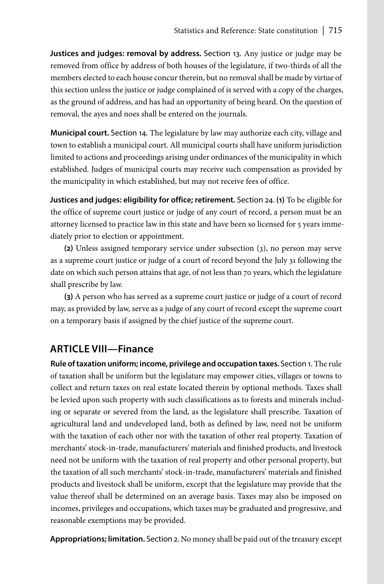**Justices and judges: removal by address.** Section 13. Any justice or judge may be removed from office by address of both houses of the legislature, if two-thirds of all the members elected to each house concur therein, but no removal shall be made by virtue of this section unless the justice or judge complained of is served with a copy of the charges, as the ground of address, and has had an opportunity of being heard. On the question of removal, the ayes and noes shall be entered on the journals.

**Municipal court.** Section 14. The legislature by law may authorize each city, village and town to establish a municipal court. All municipal courts shall have uniform jurisdiction limited to actions and proceedings arising under ordinances of the municipality in which established. Judges of municipal courts may receive such compensation as provided by the municipality in which established, but may not receive fees of office.

**Justices and judges: eligibility for office; retirement.** Section 24. **(1)** To be eligible for the office of supreme court justice or judge of any court of record, a person must be an attorney licensed to practice law in this state and have been so licensed for 5 years immediately prior to election or appointment.

**(2)** Unless assigned temporary service under subsection (3), no person may serve as a supreme court justice or judge of a court of record beyond the July 31 following the date on which such person attains that age, of not less than 70 years, which the legislature shall prescribe by law.

**(3)** A person who has served as a supreme court justice or judge of a court of record may, as provided by law, serve as a judge of any court of record except the supreme court on a temporary basis if assigned by the chief justice of the supreme court.

## **ARTICLE VIII—Finance**

**Rule of taxation uniform; income, privilege and occupation taxes.** Section 1. The rule of taxation shall be uniform but the legislature may empower cities, villages or towns to collect and return taxes on real estate located therein by optional methods. Taxes shall be levied upon such property with such classifications as to forests and minerals including or separate or severed from the land, as the legislature shall prescribe. Taxation of agricultural land and undeveloped land, both as defined by law, need not be uniform with the taxation of each other nor with the taxation of other real property. Taxation of merchants' stock-in-trade, manufacturers' materials and finished products, and livestock need not be uniform with the taxation of real property and other personal property, but the taxation of all such merchants' stock-in-trade, manufacturers' materials and finished products and livestock shall be uniform, except that the legislature may provide that the value thereof shall be determined on an average basis. Taxes may also be imposed on incomes, privileges and occupations, which taxes may be graduated and progressive, and reasonable exemptions may be provided.

**Appropriations; limitation.** Section 2. No money shall be paid out of the treasury except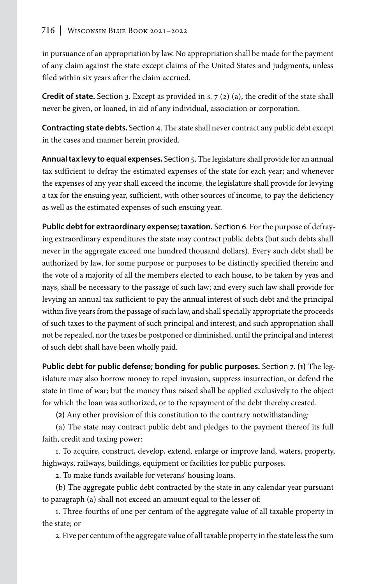in pursuance of an appropriation by law. No appropriation shall be made for the payment of any claim against the state except claims of the United States and judgments, unless filed within six years after the claim accrued.

**Credit of state.** Section 3. Except as provided in s. 7 (2) (a), the credit of the state shall never be given, or loaned, in aid of any individual, association or corporation.

**Contracting state debts.** Section 4. The state shall never contract any public debt except in the cases and manner herein provided.

**Annual tax levy to equal expenses.** Section 5. The legislature shall provide for an annual tax sufficient to defray the estimated expenses of the state for each year; and whenever the expenses of any year shall exceed the income, the legislature shall provide for levying a tax for the ensuing year, sufficient, with other sources of income, to pay the deficiency as well as the estimated expenses of such ensuing year.

**Public debt for extraordinary expense; taxation.** Section 6. For the purpose of defraying extraordinary expenditures the state may contract public debts (but such debts shall never in the aggregate exceed one hundred thousand dollars). Every such debt shall be authorized by law, for some purpose or purposes to be distinctly specified therein; and the vote of a majority of all the members elected to each house, to be taken by yeas and nays, shall be necessary to the passage of such law; and every such law shall provide for levying an annual tax sufficient to pay the annual interest of such debt and the principal within five years from the passage of such law, and shall specially appropriate the proceeds of such taxes to the payment of such principal and interest; and such appropriation shall not be repealed, nor the taxes be postponed or diminished, until the principal and interest of such debt shall have been wholly paid.

**Public debt for public defense; bonding for public purposes.** Section 7. **(1)** The legislature may also borrow money to repel invasion, suppress insurrection, or defend the state in time of war; but the money thus raised shall be applied exclusively to the object for which the loan was authorized, or to the repayment of the debt thereby created.

**(2)** Any other provision of this constitution to the contrary notwithstanding:

(a) The state may contract public debt and pledges to the payment thereof its full faith, credit and taxing power:

1. To acquire, construct, develop, extend, enlarge or improve land, waters, property, highways, railways, buildings, equipment or facilities for public purposes.

2. To make funds available for veterans' housing loans.

(b) The aggregate public debt contracted by the state in any calendar year pursuant to paragraph (a) shall not exceed an amount equal to the lesser of:

1. Three-fourths of one per centum of the aggregate value of all taxable property in the state; or

2. Five per centum of the aggregate value of all taxable property in the state less the sum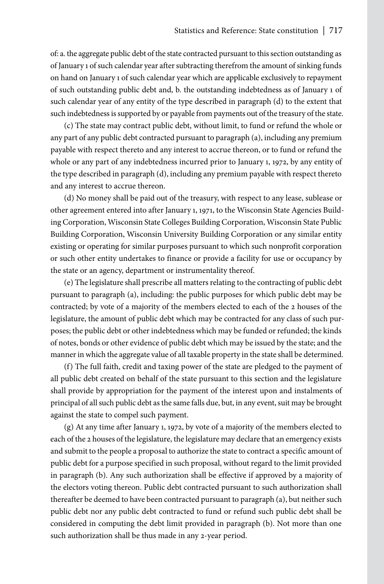of: a. the aggregate public debt of the state contracted pursuant to this section outstanding as of January 1 of such calendar year after subtracting therefrom the amount of sinking funds on hand on January 1 of such calendar year which are applicable exclusively to repayment of such outstanding public debt and, b. the outstanding indebtedness as of January 1 of such calendar year of any entity of the type described in paragraph (d) to the extent that such indebtedness is supported by or payable from payments out of the treasury of the state.

(c) The state may contract public debt, without limit, to fund or refund the whole or any part of any public debt contracted pursuant to paragraph (a), including any premium payable with respect thereto and any interest to accrue thereon, or to fund or refund the whole or any part of any indebtedness incurred prior to January 1, 1972, by any entity of the type described in paragraph (d), including any premium payable with respect thereto and any interest to accrue thereon.

(d) No money shall be paid out of the treasury, with respect to any lease, sublease or other agreement entered into after January 1, 1971, to the Wisconsin State Agencies Building Corporation, Wisconsin State Colleges Building Corporation, Wisconsin State Public Building Corporation, Wisconsin University Building Corporation or any similar entity existing or operating for similar purposes pursuant to which such nonprofit corporation or such other entity undertakes to finance or provide a facility for use or occupancy by the state or an agency, department or instrumentality thereof.

(e) The legislature shall prescribe all matters relating to the contracting of public debt pursuant to paragraph (a), including: the public purposes for which public debt may be contracted; by vote of a majority of the members elected to each of the 2 houses of the legislature, the amount of public debt which may be contracted for any class of such purposes; the public debt or other indebtedness which may be funded or refunded; the kinds of notes, bonds or other evidence of public debt which may be issued by the state; and the manner in which the aggregate value of all taxable property in the state shall be determined.

(f) The full faith, credit and taxing power of the state are pledged to the payment of all public debt created on behalf of the state pursuant to this section and the legislature shall provide by appropriation for the payment of the interest upon and instalments of principal of all such public debt as the same falls due, but, in any event, suit may be brought against the state to compel such payment.

(g) At any time after January 1, 1972, by vote of a majority of the members elected to each of the 2 houses of the legislature, the legislature may declare that an emergency exists and submit to the people a proposal to authorize the state to contract a specific amount of public debt for a purpose specified in such proposal, without regard to the limit provided in paragraph (b). Any such authorization shall be effective if approved by a majority of the electors voting thereon. Public debt contracted pursuant to such authorization shall thereafter be deemed to have been contracted pursuant to paragraph (a), but neither such public debt nor any public debt contracted to fund or refund such public debt shall be considered in computing the debt limit provided in paragraph (b). Not more than one such authorization shall be thus made in any 2-year period.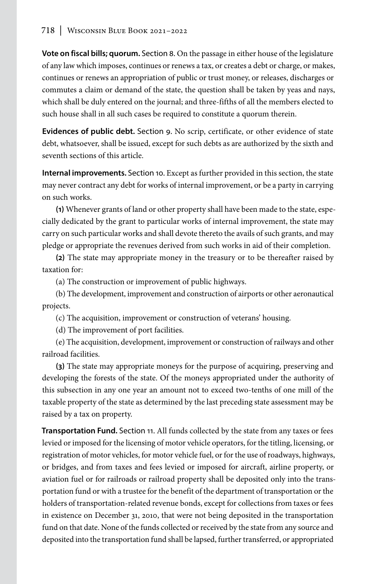#### 718 | Wisconsin Blue Book 2021–2022

**Vote on fiscal bills; quorum.** Section 8. On the passage in either house of the legislature of any law which imposes, continues or renews a tax, or creates a debt or charge, or makes, continues or renews an appropriation of public or trust money, or releases, discharges or commutes a claim or demand of the state, the question shall be taken by yeas and nays, which shall be duly entered on the journal; and three-fifths of all the members elected to such house shall in all such cases be required to constitute a quorum therein.

**Evidences of public debt.** Section 9. No scrip, certificate, or other evidence of state debt, whatsoever, shall be issued, except for such debts as are authorized by the sixth and seventh sections of this article.

**Internal improvements.** Section 10. Except as further provided in this section, the state may never contract any debt for works of internal improvement, or be a party in carrying on such works.

**(1)** Whenever grants of land or other property shall have been made to the state, especially dedicated by the grant to particular works of internal improvement, the state may carry on such particular works and shall devote thereto the avails of such grants, and may pledge or appropriate the revenues derived from such works in aid of their completion.

**(2)** The state may appropriate money in the treasury or to be thereafter raised by taxation for:

(a) The construction or improvement of public highways.

(b) The development, improvement and construction of airports or other aeronautical projects.

(c) The acquisition, improvement or construction of veterans' housing.

(d) The improvement of port facilities.

(e) The acquisition, development, improvement or construction of railways and other railroad facilities.

**(3)** The state may appropriate moneys for the purpose of acquiring, preserving and developing the forests of the state. Of the moneys appropriated under the authority of this subsection in any one year an amount not to exceed two-tenths of one mill of the taxable property of the state as determined by the last preceding state assessment may be raised by a tax on property.

**Transportation Fund.** Section 11. All funds collected by the state from any taxes or fees levied or imposed for the licensing of motor vehicle operators, for the titling, licensing, or registration of motor vehicles, for motor vehicle fuel, or for the use of roadways, highways, or bridges, and from taxes and fees levied or imposed for aircraft, airline property, or aviation fuel or for railroads or railroad property shall be deposited only into the transportation fund or with a trustee for the benefit of the department of transportation or the holders of transportation-related revenue bonds, except for collections from taxes or fees in existence on December 31, 2010, that were not being deposited in the transportation fund on that date. None of the funds collected or received by the state from any source and deposited into the transportation fund shall be lapsed, further transferred, or appropriated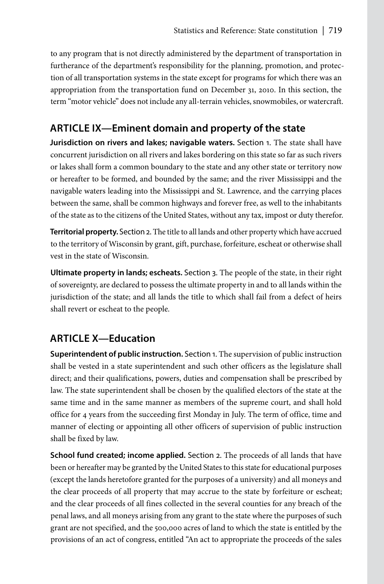to any program that is not directly administered by the department of transportation in furtherance of the department's responsibility for the planning, promotion, and protection of all transportation systems in the state except for programs for which there was an appropriation from the transportation fund on December 31, 2010. In this section, the term "motor vehicle" does not include any all-terrain vehicles, snowmobiles, or watercraft.

## **ARTICLE IX—Eminent domain and property of the state**

**Jurisdiction on rivers and lakes; navigable waters.** Section 1. The state shall have concurrent jurisdiction on all rivers and lakes bordering on this state so far as such rivers or lakes shall form a common boundary to the state and any other state or territory now or hereafter to be formed, and bounded by the same; and the river Mississippi and the navigable waters leading into the Mississippi and St. Lawrence, and the carrying places between the same, shall be common highways and forever free, as well to the inhabitants of the state as to the citizens of the United States, without any tax, impost or duty therefor.

**Territorial property.** Section 2. The title to all lands and other property which have accrued to the territory of Wisconsin by grant, gift, purchase, forfeiture, escheat or otherwise shall vest in the state of Wisconsin.

**Ultimate property in lands; escheats.** Section 3. The people of the state, in their right of sovereignty, are declared to possess the ultimate property in and to all lands within the jurisdiction of the state; and all lands the title to which shall fail from a defect of heirs shall revert or escheat to the people.

## **ARTICLE X—Education**

**Superintendent of public instruction.** Section 1. The supervision of public instruction shall be vested in a state superintendent and such other officers as the legislature shall direct; and their qualifications, powers, duties and compensation shall be prescribed by law. The state superintendent shall be chosen by the qualified electors of the state at the same time and in the same manner as members of the supreme court, and shall hold office for 4 years from the succeeding first Monday in July. The term of office, time and manner of electing or appointing all other officers of supervision of public instruction shall be fixed by law.

**School fund created; income applied.** Section 2. The proceeds of all lands that have been or hereafter may be granted by the United States to this state for educational purposes (except the lands heretofore granted for the purposes of a university) and all moneys and the clear proceeds of all property that may accrue to the state by forfeiture or escheat; and the clear proceeds of all fines collected in the several counties for any breach of the penal laws, and all moneys arising from any grant to the state where the purposes of such grant are not specified, and the 500,000 acres of land to which the state is entitled by the provisions of an act of congress, entitled "An act to appropriate the proceeds of the sales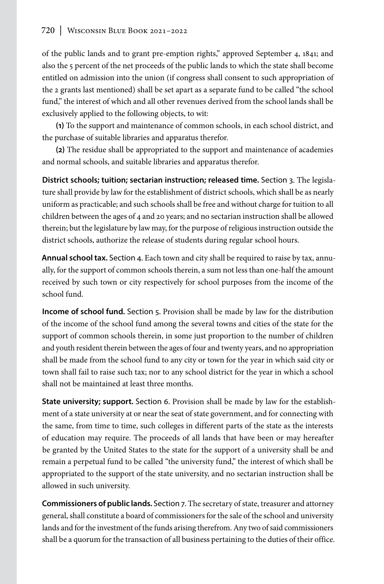#### 720 | Wisconsin Blue Book 2021–2022

of the public lands and to grant pre-emption rights," approved September 4, 1841; and also the 5 percent of the net proceeds of the public lands to which the state shall become entitled on admission into the union (if congress shall consent to such appropriation of the 2 grants last mentioned) shall be set apart as a separate fund to be called "the school fund," the interest of which and all other revenues derived from the school lands shall be exclusively applied to the following objects, to wit:

**(1)** To the support and maintenance of common schools, in each school district, and the purchase of suitable libraries and apparatus therefor.

**(2)** The residue shall be appropriated to the support and maintenance of academies and normal schools, and suitable libraries and apparatus therefor.

**District schools; tuition; sectarian instruction; released time.** Section 3. The legislature shall provide by law for the establishment of district schools, which shall be as nearly uniform as practicable; and such schools shall be free and without charge for tuition to all children between the ages of 4 and 20 years; and no sectarian instruction shall be allowed therein; but the legislature by law may, for the purpose of religious instruction outside the district schools, authorize the release of students during regular school hours.

Annual school tax. Section 4. Each town and city shall be required to raise by tax, annually, for the support of common schools therein, a sum not less than one-half the amount received by such town or city respectively for school purposes from the income of the school fund.

**Income of school fund.** Section 5. Provision shall be made by law for the distribution of the income of the school fund among the several towns and cities of the state for the support of common schools therein, in some just proportion to the number of children and youth resident therein between the ages of four and twenty years, and no appropriation shall be made from the school fund to any city or town for the year in which said city or town shall fail to raise such tax; nor to any school district for the year in which a school shall not be maintained at least three months.

**State university; support.** Section 6. Provision shall be made by law for the establishment of a state university at or near the seat of state government, and for connecting with the same, from time to time, such colleges in different parts of the state as the interests of education may require. The proceeds of all lands that have been or may hereafter be granted by the United States to the state for the support of a university shall be and remain a perpetual fund to be called "the university fund," the interest of which shall be appropriated to the support of the state university, and no sectarian instruction shall be allowed in such university.

**Commissioners of public lands.** Section 7. The secretary of state, treasurer and attorney general, shall constitute a board of commissioners for the sale of the school and university lands and for the investment of the funds arising therefrom. Any two of said commissioners shall be a quorum for the transaction of all business pertaining to the duties of their office.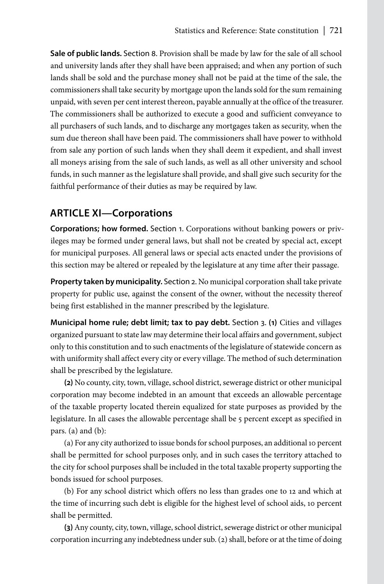**Sale of public lands.** Section 8. Provision shall be made by law for the sale of all school and university lands after they shall have been appraised; and when any portion of such lands shall be sold and the purchase money shall not be paid at the time of the sale, the commissioners shall take security by mortgage upon the lands sold for the sum remaining unpaid, with seven per cent interest thereon, payable annually at the office of the treasurer. The commissioners shall be authorized to execute a good and sufficient conveyance to all purchasers of such lands, and to discharge any mortgages taken as security, when the sum due thereon shall have been paid. The commissioners shall have power to withhold from sale any portion of such lands when they shall deem it expedient, and shall invest all moneys arising from the sale of such lands, as well as all other university and school funds, in such manner as the legislature shall provide, and shall give such security for the faithful performance of their duties as may be required by law.

## **ARTICLE XI—Corporations**

**Corporations; how formed.** Section 1. Corporations without banking powers or privileges may be formed under general laws, but shall not be created by special act, except for municipal purposes. All general laws or special acts enacted under the provisions of this section may be altered or repealed by the legislature at any time after their passage.

**Property taken by municipality.** Section 2. No municipal corporation shall take private property for public use, against the consent of the owner, without the necessity thereof being first established in the manner prescribed by the legislature.

**Municipal home rule; debt limit; tax to pay debt.** Section 3. **(1)** Cities and villages organized pursuant to state law may determine their local affairs and government, subject only to this constitution and to such enactments of the legislature of statewide concern as with uniformity shall affect every city or every village. The method of such determination shall be prescribed by the legislature.

**(2)** No county, city, town, village, school district, sewerage district or other municipal corporation may become indebted in an amount that exceeds an allowable percentage of the taxable property located therein equalized for state purposes as provided by the legislature. In all cases the allowable percentage shall be 5 percent except as specified in pars. (a) and (b):

(a) For any city authorized to issue bonds for school purposes, an additional 10 percent shall be permitted for school purposes only, and in such cases the territory attached to the city for school purposes shall be included in the total taxable property supporting the bonds issued for school purposes.

(b) For any school district which offers no less than grades one to 12 and which at the time of incurring such debt is eligible for the highest level of school aids, 10 percent shall be permitted.

**(3)** Any county, city, town, village, school district, sewerage district or other municipal corporation incurring any indebtedness under sub. (2) shall, before or at the time of doing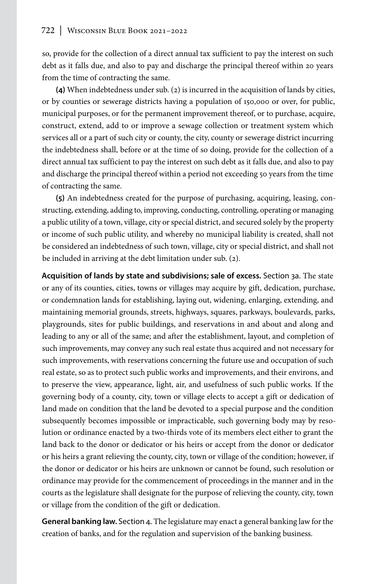#### 722 | Wisconsin Blue Book 2021–2022

so, provide for the collection of a direct annual tax sufficient to pay the interest on such debt as it falls due, and also to pay and discharge the principal thereof within 20 years from the time of contracting the same.

**(4)** When indebtedness under sub. (2) is incurred in the acquisition of lands by cities, or by counties or sewerage districts having a population of 150,000 or over, for public, municipal purposes, or for the permanent improvement thereof, or to purchase, acquire, construct, extend, add to or improve a sewage collection or treatment system which services all or a part of such city or county, the city, county or sewerage district incurring the indebtedness shall, before or at the time of so doing, provide for the collection of a direct annual tax sufficient to pay the interest on such debt as it falls due, and also to pay and discharge the principal thereof within a period not exceeding 50 years from the time of contracting the same.

**(5)** An indebtedness created for the purpose of purchasing, acquiring, leasing, constructing, extending, adding to, improving, conducting, controlling, operating or managing a public utility of a town, village, city or special district, and secured solely by the property or income of such public utility, and whereby no municipal liability is created, shall not be considered an indebtedness of such town, village, city or special district, and shall not be included in arriving at the debt limitation under sub. (2).

**Acquisition of lands by state and subdivisions; sale of excess.** Section 3a. The state or any of its counties, cities, towns or villages may acquire by gift, dedication, purchase, or condemnation lands for establishing, laying out, widening, enlarging, extending, and maintaining memorial grounds, streets, highways, squares, parkways, boulevards, parks, playgrounds, sites for public buildings, and reservations in and about and along and leading to any or all of the same; and after the establishment, layout, and completion of such improvements, may convey any such real estate thus acquired and not necessary for such improvements, with reservations concerning the future use and occupation of such real estate, so as to protect such public works and improvements, and their environs, and to preserve the view, appearance, light, air, and usefulness of such public works. If the governing body of a county, city, town or village elects to accept a gift or dedication of land made on condition that the land be devoted to a special purpose and the condition subsequently becomes impossible or impracticable, such governing body may by resolution or ordinance enacted by a two-thirds vote of its members elect either to grant the land back to the donor or dedicator or his heirs or accept from the donor or dedicator or his heirs a grant relieving the county, city, town or village of the condition; however, if the donor or dedicator or his heirs are unknown or cannot be found, such resolution or ordinance may provide for the commencement of proceedings in the manner and in the courts as the legislature shall designate for the purpose of relieving the county, city, town or village from the condition of the gift or dedication.

**General banking law.** Section 4. The legislature may enact a general banking law for the creation of banks, and for the regulation and supervision of the banking business.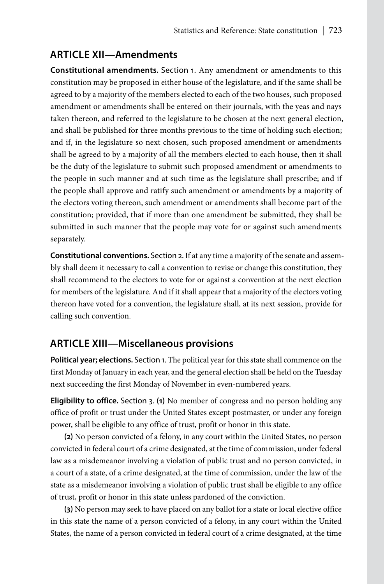## **ARTICLE XII—Amendments**

**Constitutional amendments.** Section 1. Any amendment or amendments to this constitution may be proposed in either house of the legislature, and if the same shall be agreed to by a majority of the members elected to each of the two houses, such proposed amendment or amendments shall be entered on their journals, with the yeas and nays taken thereon, and referred to the legislature to be chosen at the next general election, and shall be published for three months previous to the time of holding such election; and if, in the legislature so next chosen, such proposed amendment or amendments shall be agreed to by a majority of all the members elected to each house, then it shall be the duty of the legislature to submit such proposed amendment or amendments to the people in such manner and at such time as the legislature shall prescribe; and if the people shall approve and ratify such amendment or amendments by a majority of the electors voting thereon, such amendment or amendments shall become part of the constitution; provided, that if more than one amendment be submitted, they shall be submitted in such manner that the people may vote for or against such amendments separately.

**Constitutional conventions.** Section 2. If at any time a majority of the senate and assembly shall deem it necessary to call a convention to revise or change this constitution, they shall recommend to the electors to vote for or against a convention at the next election for members of the legislature. And if it shall appear that a majority of the electors voting thereon have voted for a convention, the legislature shall, at its next session, provide for calling such convention.

## **ARTICLE XIII—Miscellaneous provisions**

**Political year; elections.** Section 1. The political year for this state shall commence on the first Monday of January in each year, and the general election shall be held on the Tuesday next succeeding the first Monday of November in even-numbered years.

**Eligibility to office.** Section 3. **(1)** No member of congress and no person holding any office of profit or trust under the United States except postmaster, or under any foreign power, shall be eligible to any office of trust, profit or honor in this state.

**(2)** No person convicted of a felony, in any court within the United States, no person convicted in federal court of a crime designated, at the time of commission, under federal law as a misdemeanor involving a violation of public trust and no person convicted, in a court of a state, of a crime designated, at the time of commission, under the law of the state as a misdemeanor involving a violation of public trust shall be eligible to any office of trust, profit or honor in this state unless pardoned of the conviction.

**(3)** No person may seek to have placed on any ballot for a state or local elective office in this state the name of a person convicted of a felony, in any court within the United States, the name of a person convicted in federal court of a crime designated, at the time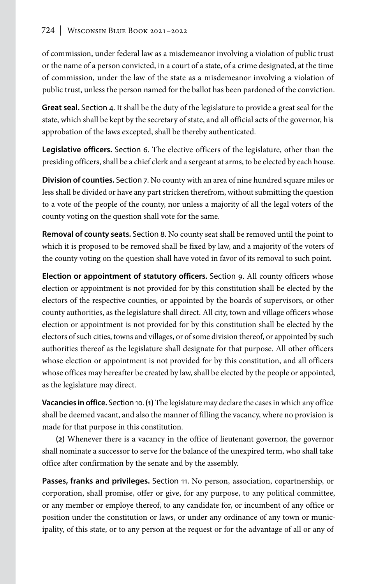of commission, under federal law as a misdemeanor involving a violation of public trust or the name of a person convicted, in a court of a state, of a crime designated, at the time of commission, under the law of the state as a misdemeanor involving a violation of public trust, unless the person named for the ballot has been pardoned of the conviction.

**Great seal.** Section 4. It shall be the duty of the legislature to provide a great seal for the state, which shall be kept by the secretary of state, and all official acts of the governor, his approbation of the laws excepted, shall be thereby authenticated.

**Legislative officers.** Section 6. The elective officers of the legislature, other than the presiding officers, shall be a chief clerk and a sergeant at arms, to be elected by each house.

**Division of counties.** Section 7. No county with an area of nine hundred square miles or less shall be divided or have any part stricken therefrom, without submitting the question to a vote of the people of the county, nor unless a majority of all the legal voters of the county voting on the question shall vote for the same.

**Removal of county seats.** Section 8. No county seat shall be removed until the point to which it is proposed to be removed shall be fixed by law, and a majority of the voters of the county voting on the question shall have voted in favor of its removal to such point.

**Election or appointment of statutory officers.** Section 9. All county officers whose election or appointment is not provided for by this constitution shall be elected by the electors of the respective counties, or appointed by the boards of supervisors, or other county authorities, as the legislature shall direct. All city, town and village officers whose election or appointment is not provided for by this constitution shall be elected by the electors of such cities, towns and villages, or of some division thereof, or appointed by such authorities thereof as the legislature shall designate for that purpose. All other officers whose election or appointment is not provided for by this constitution, and all officers whose offices may hereafter be created by law, shall be elected by the people or appointed, as the legislature may direct.

**Vacancies in office.** Section 10. **(1)** The legislature may declare the cases in which any office shall be deemed vacant, and also the manner of filling the vacancy, where no provision is made for that purpose in this constitution.

**(2)** Whenever there is a vacancy in the office of lieutenant governor, the governor shall nominate a successor to serve for the balance of the unexpired term, who shall take office after confirmation by the senate and by the assembly.

**Passes, franks and privileges.** Section 11. No person, association, copartnership, or corporation, shall promise, offer or give, for any purpose, to any political committee, or any member or employe thereof, to any candidate for, or incumbent of any office or position under the constitution or laws, or under any ordinance of any town or municipality, of this state, or to any person at the request or for the advantage of all or any of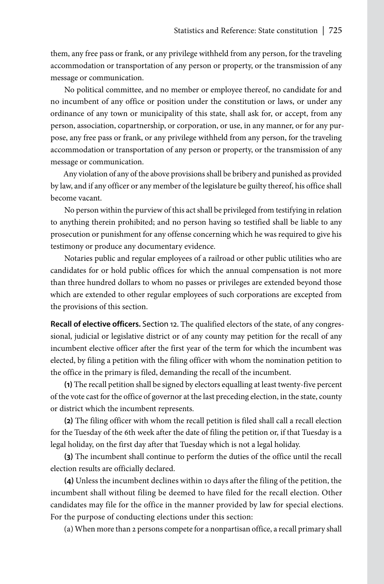them, any free pass or frank, or any privilege withheld from any person, for the traveling accommodation or transportation of any person or property, or the transmission of any message or communication.

No political committee, and no member or employee thereof, no candidate for and no incumbent of any office or position under the constitution or laws, or under any ordinance of any town or municipality of this state, shall ask for, or accept, from any person, association, copartnership, or corporation, or use, in any manner, or for any purpose, any free pass or frank, or any privilege withheld from any person, for the traveling accommodation or transportation of any person or property, or the transmission of any message or communication.

Any violation of any of the above provisions shall be bribery and punished as provided by law, and if any officer or any member of the legislature be guilty thereof, his office shall become vacant.

No person within the purview of this act shall be privileged from testifying in relation to anything therein prohibited; and no person having so testified shall be liable to any prosecution or punishment for any offense concerning which he was required to give his testimony or produce any documentary evidence.

Notaries public and regular employees of a railroad or other public utilities who are candidates for or hold public offices for which the annual compensation is not more than three hundred dollars to whom no passes or privileges are extended beyond those which are extended to other regular employees of such corporations are excepted from the provisions of this section.

**Recall of elective officers.** Section 12. The qualified electors of the state, of any congressional, judicial or legislative district or of any county may petition for the recall of any incumbent elective officer after the first year of the term for which the incumbent was elected, by filing a petition with the filing officer with whom the nomination petition to the office in the primary is filed, demanding the recall of the incumbent.

**(1)** The recall petition shall be signed by electors equalling at least twenty-five percent of the vote cast for the office of governor at the last preceding election, in the state, county or district which the incumbent represents.

**(2)** The filing officer with whom the recall petition is filed shall call a recall election for the Tuesday of the 6th week after the date of filing the petition or, if that Tuesday is a legal holiday, on the first day after that Tuesday which is not a legal holiday.

**(3)** The incumbent shall continue to perform the duties of the office until the recall election results are officially declared.

**(4)** Unless the incumbent declines within 10 days after the filing of the petition, the incumbent shall without filing be deemed to have filed for the recall election. Other candidates may file for the office in the manner provided by law for special elections. For the purpose of conducting elections under this section:

(a) When more than 2 persons compete for a nonpartisan office, a recall primary shall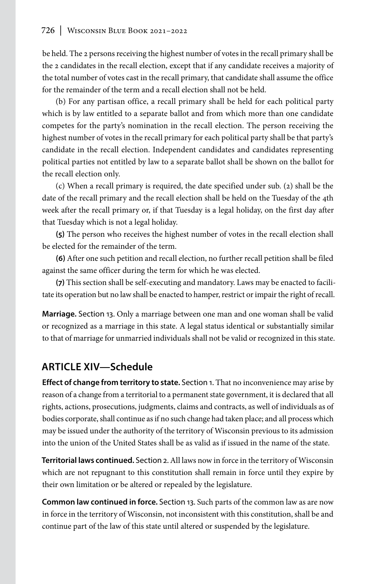be held. The 2 persons receiving the highest number of votes in the recall primary shall be the 2 candidates in the recall election, except that if any candidate receives a majority of the total number of votes cast in the recall primary, that candidate shall assume the office for the remainder of the term and a recall election shall not be held.

(b) For any partisan office, a recall primary shall be held for each political party which is by law entitled to a separate ballot and from which more than one candidate competes for the party's nomination in the recall election. The person receiving the highest number of votes in the recall primary for each political party shall be that party's candidate in the recall election. Independent candidates and candidates representing political parties not entitled by law to a separate ballot shall be shown on the ballot for the recall election only.

(c) When a recall primary is required, the date specified under sub. (2) shall be the date of the recall primary and the recall election shall be held on the Tuesday of the 4th week after the recall primary or, if that Tuesday is a legal holiday, on the first day after that Tuesday which is not a legal holiday.

**(5)** The person who receives the highest number of votes in the recall election shall be elected for the remainder of the term.

**(6)** After one such petition and recall election, no further recall petition shall be filed against the same officer during the term for which he was elected.

**(7)** This section shall be self-executing and mandatory. Laws may be enacted to facilitate its operation but no law shall be enacted to hamper, restrict or impair the right of recall.

**Marriage.** Section 13. Only a marriage between one man and one woman shall be valid or recognized as a marriage in this state. A legal status identical or substantially similar to that of marriage for unmarried individuals shall not be valid or recognized in this state.

# **ARTICLE XIV—Schedule**

**Effect of change from territory to state.** Section 1. That no inconvenience may arise by reason of a change from a territorial to a permanent state government, it is declared that all rights, actions, prosecutions, judgments, claims and contracts, as well of individuals as of bodies corporate, shall continue as if no such change had taken place; and all process which may be issued under the authority of the territory of Wisconsin previous to its admission into the union of the United States shall be as valid as if issued in the name of the state.

**Territorial laws continued.** Section 2. All laws now in force in the territory of Wisconsin which are not repugnant to this constitution shall remain in force until they expire by their own limitation or be altered or repealed by the legislature.

**Common law continued in force.** Section 13. Such parts of the common law as are now in force in the territory of Wisconsin, not inconsistent with this constitution, shall be and continue part of the law of this state until altered or suspended by the legislature.